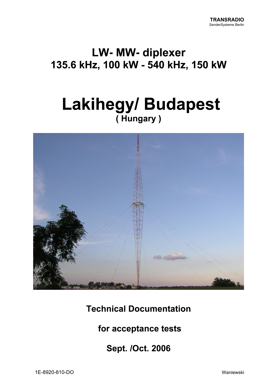## **LW-MW-diplexer** 135.6 kHz, 100 kW - 540 kHz, 150 kW

# **Lakihegy/ Budapest** (Hungary)



**Technical Documentation** 

for acceptance tests

**Sept. /Oct. 2006**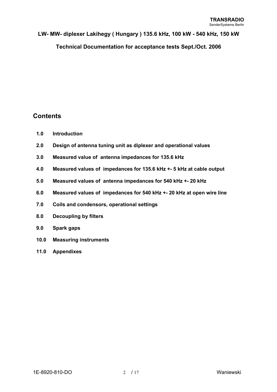**Technical Documentation for acceptance tests Sept./Oct. 2006** 

## **Contents**

- **1.0 Introduction**
- **2.0 Design of antenna tuning unit as diplexer and operational values**
- **3.0 Measured value of antenna impedances for 135.6 kHz**
- **4.0 Measured values of impedances for 135.6 kHz +- 5 kHz at cable output**
- **5.0 Measured values of antenna impedances for 540 kHz +- 20 kHz**
- **6.0 Measured values of impedances for 540 kHz +- 20 kHz at open wire line**
- **7.0 Coils and condensors, operational settings**
- **8.0 Decoupling by filters**
- **9.0 Spark gaps**
- **10.0 Measuring instruments**
- **11.0 Appendixes**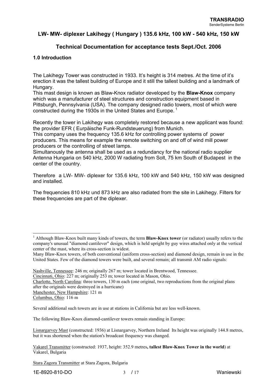## **Technical Documentation for acceptance tests Sept./Oct. 2006**

#### **1.0 Introduction**

The Lakihegy Tower was constructed in 1933. It's height is 314 metres. At the time of it's erection it was the tallest building of Europe and it still the tallest building and a landmark of Hungary.

This mast design is known as Blaw-Knox radiator developed by the **Blaw-Knox** company which was a manufacturer of steel structures and construction equipment based in Pittsburgh, Pennsylvania (USA). The company designed radio towers, most of which were constructed during the 1930s in the United States and Europe.<sup>1</sup>

Recently the tower in Lakihegy was completely restored because a new applicant was found: the provider EFR ( Eurpäische Funk-Rundsteuerung) from Munich.

This company uses the frequency 135.6 kHz for controlling power systems of power producers. This means for example the remote switching on and off of wind mill power producers or the controlling of street lamps.

Simultanously the antenna shall be used as a redundancy for the national radio supplier Antenna Hungaria on 540 kHz, 2000 W radiating from Solt, 75 km South of Budapest in the center of the country.

Therefore a LW- MW- diplexer for 135.6 kHz, 100 kW and 540 kHz, 150 kW was designed and installed.

The frequencies 810 kHz und 873 kHz are also radiated from the site in Lakihegy. Filters for these frequencies are part of the diplexer.

Cincinnati, Ohio: 227 m; originally 253 m; tower located in Mason, Ohio.

Charlotte, North Carolina: three towers, 130 m each (one original, two reproductions from the original plans after the originals were destroyed in a hurricane)

 $\overline{\phantom{a}}$ 

Several additional such towers are in use at stations in California but are less well-known.

The following Blaw-Knox diamond-cantilever towers remain standing in Europe:

Lisnargarvey Mast (constructed: 1936) at Lisnargarvey, Northern Ireland Its height was originally 144.8 metres, but it was shortened when the station's broadcast frequency was changed.

Vakarel Transmitter (constructed: 1937, height: 352.9 metres**, tallest Blaw-Knox Tower in the world**) at Vakarel, Bulgaria

Stara Zagora Transmitter at Stara Zagora, Bulgaria

<sup>&</sup>lt;sup>1</sup> Although Blaw-Knox built many kinds of towers, the term **Blaw-Knox tower** (or radiator) usually refers to the company's unusual "diamond cantilever" design, which is held upright by guy wires attached only at the vertical center of the mast, where its cross-section is widest.

Many Blaw-Knox towers, of both conventional (uniform cross-section) and diamond design, remain in use in the United States. Few of the diamond towers were built, and several remain; all transmit AM radio signals:

Nashville, Tennessee: 246 m; originally 267 m; tower located in Brentwood, Tennessee.

Manchester, New Hampshire: 121 m

Columbus, Ohio: 116 m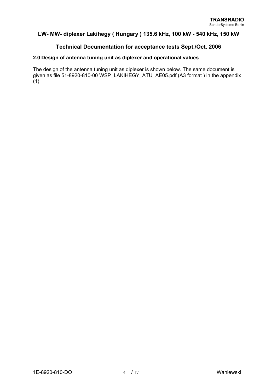## **Technical Documentation for acceptance tests Sept./Oct. 2006**

#### **2.0 Design of antenna tuning unit as diplexer and operational values**

The design of the antenna tuning unit as diplexer is shown below. The same document is given as file 51-8920-810-00 WSP\_LAKIHEGY\_ATU\_AE05.pdf (A3 format ) in the appendix  $(1).$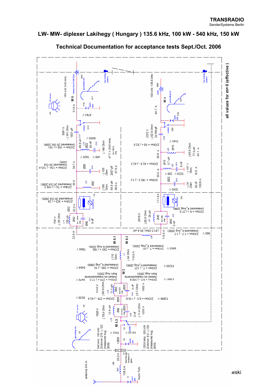

**Technical Documentation for acceptance tests Sept./Oct. 2006**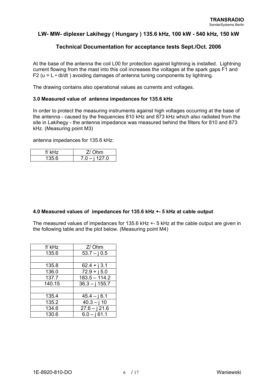## **Technical Documentation for acceptance tests Sept./Oct. 2006**

At the base of the antenna the coil L00 for protection against lightning is installed. Lightning current flowing from the mast into this coil increases the voltages at the spark gaps F1 and F2 ( $u = L \cdot di/dt$ ) avoiding damages of antenna tuning components by lightning.

The drawing contains also operational values as currents and voltages.

#### **3.0 Measured value of antenna impedances for 135.6 kHz**

In order to protect the measuring instruments against high voltages occurring at the base of the antenna - caused by the frequencies 810 kHz and 873 kHz which also radiated from the site in Lakihegy - the antenna impedance was measured behind the filters for 810 and 873 kHz. (Measuring point M3)

antenna impedances for 135.6 kHz:

| ''         | ١m    |
|------------|-------|
| 5 R<br>. . | 127.0 |

#### **4.0 Measured values of impedances for 135.6 kHz +- 5 kHz at cable output**

The measured values of impedances for 135.6 kHz +- 5 kHz at the cable output are given in the following table and the plot below. (Measuring point M4)

| f/kHz  | Z/ Ohm           |
|--------|------------------|
| 135.6  | $53.7 - j.0.5$   |
|        |                  |
| 135.8  | $62.4 + j3.1$    |
| 136.0  | $72.9 + j 5.0$   |
| 137.7  | $183.5 - 114.2$  |
| 140.15 | $36.3 - j$ 155.7 |
|        |                  |
| 135.4  | $45.4 - j6.1$    |
| 135.2  | $40.3 - i 10$    |
| 134.6  | $27.6 - j$ 21.6  |
| 130.6  | $6.0 - j61.1$    |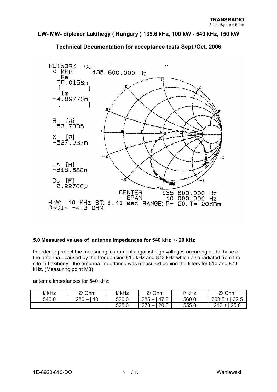

**Technical Documentation for acceptance tests Sept./Oct. 2006** 

## **5.0 Measured values of antenna impedances for 540 kHz +- 20 kHz**

In order to protect the measuring instruments against high voltages occurring at the base of the antenna - caused by the frequencies 810 kHz and 873 kHz which also radiated from the site in Lakihegy - the antenna impedance was measured behind the filters for 810 and 873 kHz. (Measuring point M3)

antenna impedances for 540 kHz:

| f/kHz | 7/Ohm        | f/kHz | 7/ Ohm            | f/ kHz | Z/Ohm           |
|-------|--------------|-------|-------------------|--------|-----------------|
| 540.0 | $280 - i 10$ | 520.0 | $285 - i 47.0$    | 560.0  | $203.5 + j32.5$ |
|       |              | 525.0 | $270 -$<br>i 20.0 | 555.0  | $212 + i 25.0$  |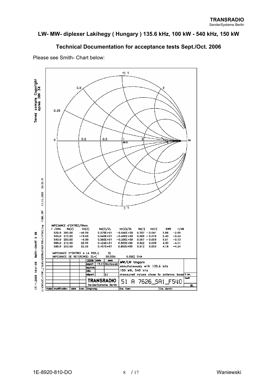## **Technical Documentation for acceptance tests Sept./Oct. 2006**



Please see Smith- Chart below: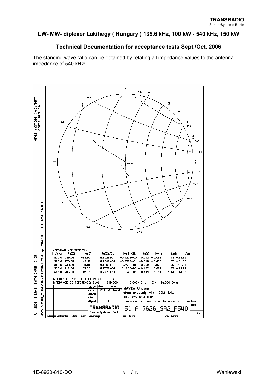## **Technical Documentation for acceptance tests Sept./Oct. 2006**

The standing wave ratio can be obtained by relating all impedance values to the antenna impedance of 540 kHz**:** 

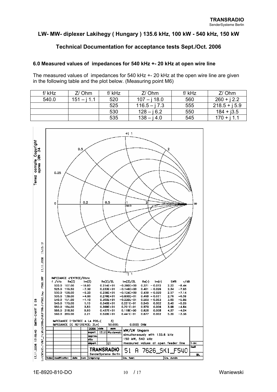## **Technical Documentation for acceptance tests Sept./Oct. 2006**

## **6.0 Measured values of impedances for 540 kHz +- 20 kHz at open wire line**

The measured values of impedances for 540 kHz +- 20 kHz at the open wire line are given in the following table and the plot below. (Measuring point M6)

| f/kHz | Z/Ohm         | f/kHz | Z/Ohm           | f/kHz | Z/Ohm           |
|-------|---------------|-------|-----------------|-------|-----------------|
| 540.0 | $151 - i 1.1$ | 520   | $107 - i 18.0$  | 560   | $260 + i 2.2$   |
|       |               | 525   | $116.5 - i 7.3$ | 555   | $218.5 + i 5.9$ |
|       |               | 530   | $128 - i 6.2$   | 550   | $184 + j3.5$    |
|       |               | 535   | $138 - i 4.0$   | 545   | $170 + i 1.1$   |

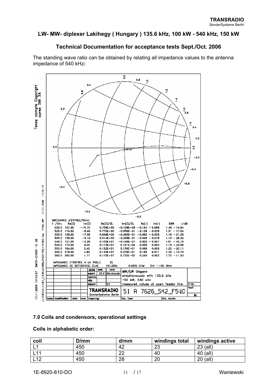## **Technical Documentation for acceptance tests Sept./Oct. 2006**

The standing wave ratio can be obtained by relating all impedance values to the antenna impedance of 540 kHz**:** 



#### **7.0 Coils and condensors, operational settings**

#### **Coils in alphabetic order:**

| coil  | D/mm | d/mm | windings total | windings active |
|-------|------|------|----------------|-----------------|
| -     | 450  | 42   | ററ<br>ںے       | 23 (all)        |
| -44   | 450  | ററ   | 40             | 40 (all)        |
| - 1 0 | 450  | 28   | 20             | 20 (all)        |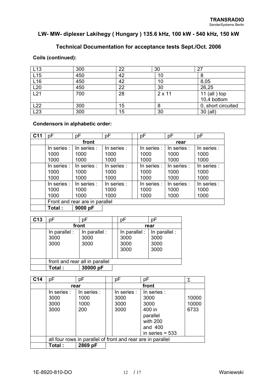## **Technical Documentation for acceptance tests Sept./Oct. 2006**

#### **Coils (continued):**

| L <sub>13</sub> | 300 | 22 | 30            | 27                 |
|-----------------|-----|----|---------------|--------------------|
| L15             | 450 | 42 | 10            | 8                  |
| L16             | 450 | 42 | 10            | 8,05               |
| L20             | 450 | 22 | 30            | 26,25              |
| L21             | 700 | 28 | $2 \times 11$ | 11 $(all)$ top     |
|                 |     |    |               | 10,4 bottom        |
| L22             | 300 | 15 | 8             | 0, short circuited |
| L23             | 300 | 15 | 30            | 30 (all)           |

#### **Condensors in alphabetic order:**

| C <sub>11</sub> | рF                             | pF                          | рF                          | pF                          | pF                          | pF                          |
|-----------------|--------------------------------|-----------------------------|-----------------------------|-----------------------------|-----------------------------|-----------------------------|
|                 | front                          |                             |                             | rear                        |                             |                             |
|                 | In series :<br>1000<br>1000    | In series :<br>1000<br>1000 | In series :<br>1000<br>1000 | In series :<br>1000<br>1000 | In series :<br>1000<br>1000 | In series :<br>1000<br>1000 |
|                 | In series :<br>1000<br>1000    | In series :<br>1000<br>1000 | In series :<br>1000<br>1000 | In series :<br>1000<br>1000 | In series :<br>1000<br>1000 | In series :<br>1000<br>1000 |
|                 | In series :<br>1000<br>1000    | In series :<br>1000<br>1000 | In series :<br>1000<br>1000 | In series :<br>1000<br>1000 | In series :<br>1000<br>1000 | In series :<br>1000<br>1000 |
|                 | Front and rear are in parallel |                             |                             |                             |                             |                             |
|                 | Total:                         | 9000 pF                     |                             |                             |                             |                             |

| C <sub>13</sub> | рF                             | рF                            |  | рF                                    | рF                                    |
|-----------------|--------------------------------|-------------------------------|--|---------------------------------------|---------------------------------------|
|                 | front                          |                               |  |                                       | rear                                  |
|                 | In parallel :<br>3000<br>3000  | In parallel :<br>3000<br>3000 |  | In parallel :<br>3000<br>3000<br>3000 | In parallel :<br>3000<br>3000<br>3000 |
|                 | front and rear all in parallel |                               |  |                                       |                                       |
|                 | Total:                         | 30000 pF                      |  |                                       |                                       |

| C <sub>14</sub> | pF          | pF          |                                                             | рF          | pF                | Σ     |  |
|-----------------|-------------|-------------|-------------------------------------------------------------|-------------|-------------------|-------|--|
|                 | rear        |             |                                                             |             |                   |       |  |
|                 | In series : | In series : |                                                             | In series : | In series :       |       |  |
|                 | 3000        | 1000        |                                                             | 3000        | 3000              | 10000 |  |
|                 | 3000        | 1000        |                                                             | 3000        | 3000              | 10000 |  |
|                 | 3000        | 200         |                                                             | 3000        | 400 in            | 6733  |  |
|                 |             |             |                                                             |             | parallel          |       |  |
|                 |             |             |                                                             |             | with 200          |       |  |
|                 |             |             |                                                             |             | and 400           |       |  |
|                 |             |             |                                                             |             | in series $= 533$ |       |  |
|                 |             |             | all four rows in parallel of front and rear are in parallel |             |                   |       |  |
|                 | Total :     | 2869 pF     |                                                             |             |                   |       |  |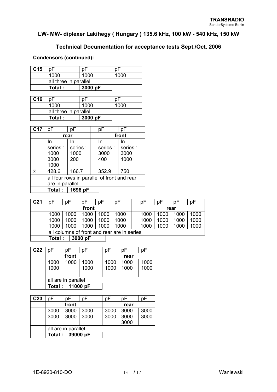## **Technical Documentation for acceptance tests Sept./Oct. 2006**

#### **Condensors (continued):**

| C <sub>15</sub> |                       |         |      |
|-----------------|-----------------------|---------|------|
|                 | 1000                  | 1000    | 1000 |
|                 | all three in parallel |         |      |
|                 | Total:                | 3000 pF |      |

| C <sub>16</sub> |                       |         |      |
|-----------------|-----------------------|---------|------|
|                 | 1000                  | 1000    | 1000 |
|                 | all three in parallel |         |      |
|                 | Total:                | 3000 pF |      |

| C <sub>17</sub> | рF                                          | nF       |  | рF       | рF       |  |
|-----------------|---------------------------------------------|----------|--|----------|----------|--|
|                 | rear                                        |          |  | front    |          |  |
|                 | In                                          | In       |  | In       | In       |  |
|                 | series :                                    | series : |  | series : | series : |  |
|                 | 1000                                        | 1000     |  | 3000     | 3000     |  |
|                 | 3000                                        | 200      |  | 400      | 1000     |  |
|                 | 1000                                        |          |  |          |          |  |
| Σ               | 428.6                                       | 166.7    |  | 352.9    | 750      |  |
|                 | all four rows in parallel of front and rear |          |  |          |          |  |
|                 | are in parallel                             |          |  |          |          |  |
|                 | Total:                                      | 1698 pF  |  |          |          |  |

| C21 | nΕ                                          | nF   | n⊢      | p⊦   | p⊦   | рF   | D٣   | p⊦   | D٣   |
|-----|---------------------------------------------|------|---------|------|------|------|------|------|------|
|     | front                                       |      |         |      | rear |      |      |      |      |
|     | 1000                                        | 1000 | 1000    | 1000 | 1000 | 1000 | 1000 | 1000 | 1000 |
|     | 1000                                        | 1000 | 1000    | 1000 | 1000 | 1000 | 1000 | 1000 | 1000 |
|     | 1000                                        | 1000 | 1000    | 1000 | 1000 | 1000 | 1000 | 1000 | 1000 |
|     | all columns of front and rear are in series |      |         |      |      |      |      |      |      |
|     | Total :                                     |      | 3000 pF |      |      |      |      |      |      |

| C <sub>22</sub> | рF                  | nF   | рF       |  | nF   | nF   | рF   |
|-----------------|---------------------|------|----------|--|------|------|------|
|                 | front               |      |          |  | rear |      |      |
|                 | 1000                | 1000 | 1000     |  | 1000 | 1000 | 1000 |
|                 | 1000                |      | 1000     |  | 1000 | 1000 | 1000 |
|                 |                     |      |          |  |      |      |      |
|                 | all are in parallel |      |          |  |      |      |      |
|                 | Total:              |      | 11000 pF |  |      |      |      |

| C <sub>23</sub> | рF                  | рF   | рF   |  | рF   | рF   | рF   |
|-----------------|---------------------|------|------|--|------|------|------|
|                 | front               |      |      |  | rear |      |      |
|                 | 3000                | 3000 | 3000 |  | 3000 | 3000 | 3000 |
|                 | 3000                | 3000 | 3000 |  | 3000 | 3000 | 3000 |
|                 |                     |      |      |  |      | 3000 |      |
|                 | all are in parallel |      |      |  |      |      |      |
|                 | Total:<br>39000 pF  |      |      |  |      |      |      |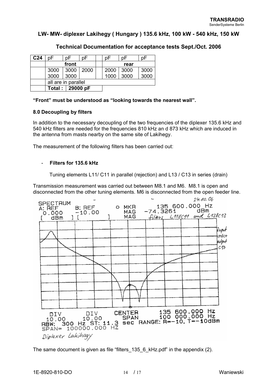| C <sub>24</sub> | ŋΕ                  | n⊦    | рF   |  | рF   | p⊦   | рF   |
|-----------------|---------------------|-------|------|--|------|------|------|
|                 |                     | front |      |  |      | rear |      |
|                 | 3000                | 3000  | 2000 |  | 2000 | 3000 | 3000 |
|                 | 3000                | 3000  |      |  | 1000 | 3000 | 3000 |
|                 | all are in parallel |       |      |  |      |      |      |
|                 | Total: 29000 pF     |       |      |  |      |      |      |

## **Technical Documentation for acceptance tests Sept./Oct. 2006**

**"Front" must be understood as "looking towards the nearest wall".** 

#### **8.0 Decoupling by filters**

In addition to the necessary decoupling of the two frequencies of the diplexer 135.6 kHz and 540 kHz filters are needed for the frequencies 810 kHz an d 873 kHz which are induced in the antenna from masts nearby on the same site of Lakihegy.

The measurement of the following filters has been carried out:

#### - **Filters for 135.6 kHz**

Tuning elements L11/ C11 in parallel (rejection) and L13 / C13 in series (drain)

Transmission measurement was carried out between M8.1 and M6. M8.1 is open and disconnected from the other tuning elements. M6 is disconnected from the open feeder line.



The same document is given as file "filters\_135\_6\_kHz.pdf" in the appendix (2).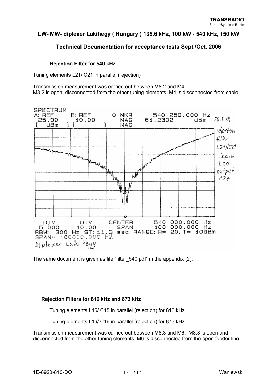## **Technical Documentation for acceptance tests Sept./Oct. 2006**

#### - **Rejection Filter for 540 kHz**

Tuning elements L21/ C21 in parallel (rejection)

Transmission measurement was carried out between M8.2 and M4. M8.2 is open, disconnected from the other tuning elements. M4 is disconnected from cable.



The same document is given as file "filter 540.pdf" in the appendix (2).

#### **Rejection Filters for 810 kHz and 873 kHz**

Tuning elements L15/ C15 in parallel (rejection) for 810 kHz

Tuning elements L16/ C16 in parallel (rejection) for 873 kHz

Transmission measurement was carried out between M8.3 and M6. M8.3 is open and disconnected from the other tuning elements. M6 is disconnected from the open feeder line.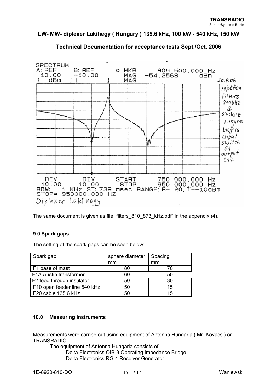

## **Technical Documentation for acceptance tests Sept./Oct. 2006**

The same document is given as file "filters\_810\_873\_kHz.pdf" in the appendix (4).

## **9.0 Spark gaps**

The setting of the spark gaps can be seen below:

| Spark gap                    | sphere diameter | Spacing |  |
|------------------------------|-----------------|---------|--|
|                              | mm              | mm      |  |
| F1 base of mast              | 80              | 70      |  |
| F1A Austin transformer       | 60              | 50      |  |
| F2 feed through insulator    | 50              | 30      |  |
| F10 open feeder line 540 kHz | 50              | 15      |  |
| F20 cable 135.6 kHz          | 50              | 15      |  |

#### **10.0 Measuring instruments**

Measurements were carried out using equipment of Antenna Hungaria ( Mr. Kovacs ) or TRANSRADIO.

The equipment of Antenna Hungaria consists of: Delta Electronics OIB-3 Operating Impedance Bridge Delta Electronics RG-4 Receiver Generator